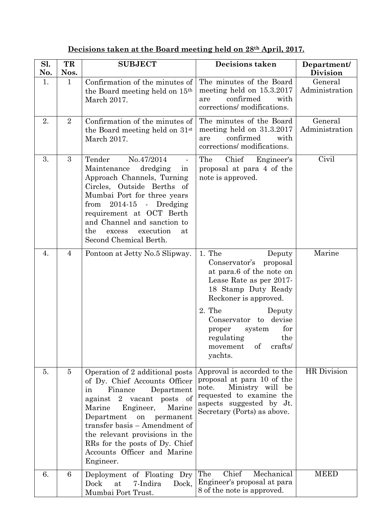| Decisions taken at the Board meeting held on 28 <sup>th</sup> April, 2017. |  |  |  |  |  |
|----------------------------------------------------------------------------|--|--|--|--|--|
|                                                                            |  |  |  |  |  |

| Sl.<br>No. | TR<br>Nos.     | <b>SUBJECT</b>                                                                                                                                                                                                                                                                                                                                     | <b>Decisions taken</b>                                                                                                                                                                                                                                                                       | Department/<br><b>Division</b> |  |
|------------|----------------|----------------------------------------------------------------------------------------------------------------------------------------------------------------------------------------------------------------------------------------------------------------------------------------------------------------------------------------------------|----------------------------------------------------------------------------------------------------------------------------------------------------------------------------------------------------------------------------------------------------------------------------------------------|--------------------------------|--|
| 1.         | $\mathbf{1}$   | Confirmation of the minutes of<br>the Board meeting held on 15th<br>March 2017.                                                                                                                                                                                                                                                                    | The minutes of the Board<br>meeting held on 15.3.2017<br>confirmed<br>with<br>are<br>corrections/ modifications.                                                                                                                                                                             | General<br>Administration      |  |
| 2.         | $\overline{2}$ | Confirmation of the minutes of<br>the Board meeting held on 31 <sup>st</sup><br>March 2017.                                                                                                                                                                                                                                                        | The minutes of the Board<br>meeting held on 31.3.2017<br>confirmed<br>with<br>are<br>corrections/ modifications.                                                                                                                                                                             | General<br>Administration      |  |
| 3.         | 3              | Tender<br>No.47/2014<br>Maintenance<br>dredging<br>in<br>Approach Channels, Turning<br>Circles, Outside Berths of<br>Mumbai Port for three years<br>$2014-15$ - Dredging<br>from<br>requirement at OCT Berth<br>and Channel and sanction to<br>the<br>execution<br>excess<br>at<br>Second Chemical Berth.                                          | The<br>Chief<br>Engineer's<br>proposal at para 4 of the<br>note is approved.                                                                                                                                                                                                                 | Civil                          |  |
| 4.         | 4              | Pontoon at Jetty No.5 Slipway.                                                                                                                                                                                                                                                                                                                     | 1. The<br>Deputy<br>Conservator's proposal<br>at para.6 of the note on<br>Lease Rate as per 2017-<br>18 Stamp Duty Ready<br>Reckoner is approved.<br>2. The<br>Deputy<br>devise<br>Conservator<br>to<br>for<br>system<br>proper<br>the<br>regulating<br>crafts/<br>movement<br>of<br>yachts. | Marine                         |  |
| 5.         | $\overline{5}$ | Operation of 2 additional posts<br>of Dy. Chief Accounts Officer<br>Finance<br>Department<br>in<br>2 vacant posts of<br>against<br>Engineer,<br>Marine<br>Marine<br>Department<br>on<br>permanent<br>transfer basis – Amendment of<br>the relevant provisions in the<br>RRs for the posts of Dy. Chief<br>Accounts Officer and Marine<br>Engineer. | Approval is accorded to the<br>proposal at para 10 of the<br>note.<br>Ministry will<br>be<br>requested to examine the<br>aspects suggested by Jt.<br>Secretary (Ports) as above.                                                                                                             | HR Division                    |  |
| 6.         | 6              | Deployment of Floating Dry<br>Dock<br>at<br>7-Indira<br>Dock,<br>Mumbai Port Trust.                                                                                                                                                                                                                                                                | The<br>Chief<br>Mechanical<br>Engineer's proposal at para<br>8 of the note is approved.                                                                                                                                                                                                      | <b>MEED</b>                    |  |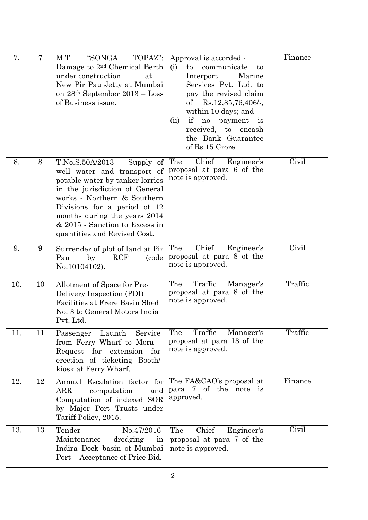| 7.  | 7  | "SONGA<br>TOPAZ":<br>M.T.<br>Damage to 2 <sup>nd</sup> Chemical Berth<br>under construction<br>at<br>New Pir Pau Jetty at Mumbai<br>on $28th$ September $2013$ – Loss<br>of Business issue.                                                                                                        | Approval is accorded -<br>(i)<br>communicate<br>to<br>to<br>Interport<br>Marine<br>Services Pvt. Ltd. to<br>pay the revised claim<br>$Rs.12,85,76,406/$ -<br>οf<br>within 10 days; and<br>if<br>no payment is<br>(ii)<br>received,<br>to encash<br>the Bank Guarantee<br>of Rs.15 Crore. | Finance |
|-----|----|----------------------------------------------------------------------------------------------------------------------------------------------------------------------------------------------------------------------------------------------------------------------------------------------------|------------------------------------------------------------------------------------------------------------------------------------------------------------------------------------------------------------------------------------------------------------------------------------------|---------|
| 8.  | 8  | $T.No.S.50A/2013 -$ Supply of<br>well water and transport of<br>potable water by tanker lorries<br>in the jurisdiction of General<br>works - Northern & Southern<br>Divisions for a period of 12<br>months during the years 2014<br>& 2015 - Sanction to Excess in<br>quantities and Revised Cost. | Chief<br>The<br>Engineer's<br>proposal at para 6 of the<br>note is approved.                                                                                                                                                                                                             | Civil   |
| 9.  | 9  | Surrender of plot of land at Pir<br><b>RCF</b><br>by<br>(code<br>Pau<br>No.10104102).                                                                                                                                                                                                              | The<br>Chief<br>Engineer's<br>proposal at para 8 of the<br>note is approved.                                                                                                                                                                                                             | Civil   |
| 10. | 10 | Allotment of Space for Pre-<br>Delivery Inspection (PDI)<br>Facilities at Frere Basin Shed<br>No. 3 to General Motors India<br>Pvt. Ltd.                                                                                                                                                           | The<br>Traffic<br>Manager's<br>proposal at para 8 of the<br>note is approved.                                                                                                                                                                                                            | Traffic |
| 11. | 11 | Launch<br>Service<br>Passenger<br>from Ferry Wharf to Mora -<br>Request for extension<br>for<br>erection of ticketing Booth/<br>kiosk at Ferry Wharf.                                                                                                                                              | Traffic<br>The<br>Manager's<br>proposal at para 13 of the<br>note is approved.                                                                                                                                                                                                           | Traffic |
| 12. | 12 | Annual Escalation factor for<br>ARR<br>computation<br>and<br>Computation of indexed SOR<br>by Major Port Trusts under<br>Tariff Policy, 2015.                                                                                                                                                      | The FA&CAO's proposal at<br>para<br>7 of the note is<br>approved.                                                                                                                                                                                                                        | Finance |
| 13. | 13 | Tender<br>No.47/2016-<br>Maintenance<br>dredging<br>in<br>Indira Dock basin of Mumbai<br>Port - Acceptance of Price Bid.                                                                                                                                                                           | Chief<br>The<br>Engineer's<br>proposal at para 7 of the<br>note is approved.                                                                                                                                                                                                             | Civil   |